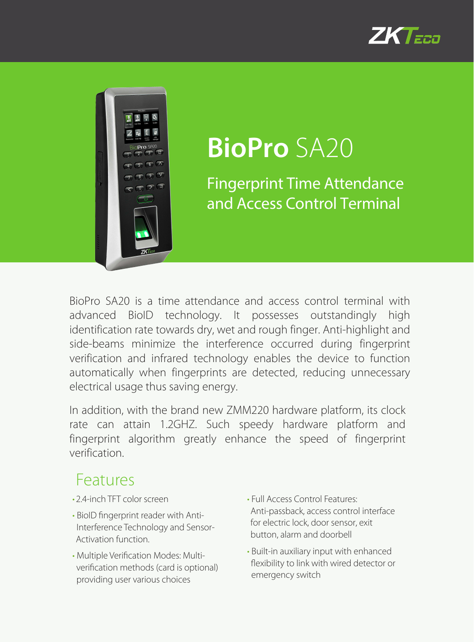



# **BioPro** SA20

Fingerprint Time Attendance and Access Control Terminal

BioPro SA20 is a time attendance and access control terminal with advanced BioID technology. It possesses outstandingly high identification rate towards dry, wet and rough finger. Anti-highlight and side-beams minimize the interference occurred during fingerprint verification and infrared technology enables the device to function automatically when fingerprints are detected, reducing unnecessary electrical usage thus saving energy.

In addition, with the brand new ZMM220 hardware platform, its clock rate can attain 1.2GHZ. Such speedy hardware platform and fingerprint algorithm greatly enhance the speed of fingerprint verification.

#### Features

- 24-inch TFT color screen
- BioID fingerprint reader with Anti-Interference Technology and Sensor-Activation function.
- Multiple Verification Modes: Multiverification methods (card is optional) providing user various choices
- Full Access Control Features: Anti-passback, access control interface for electric lock, door sensor, exit button, alarm and doorbell
- Built-in auxiliary input with enhanced flexibility to link with wired detector or emergency switch